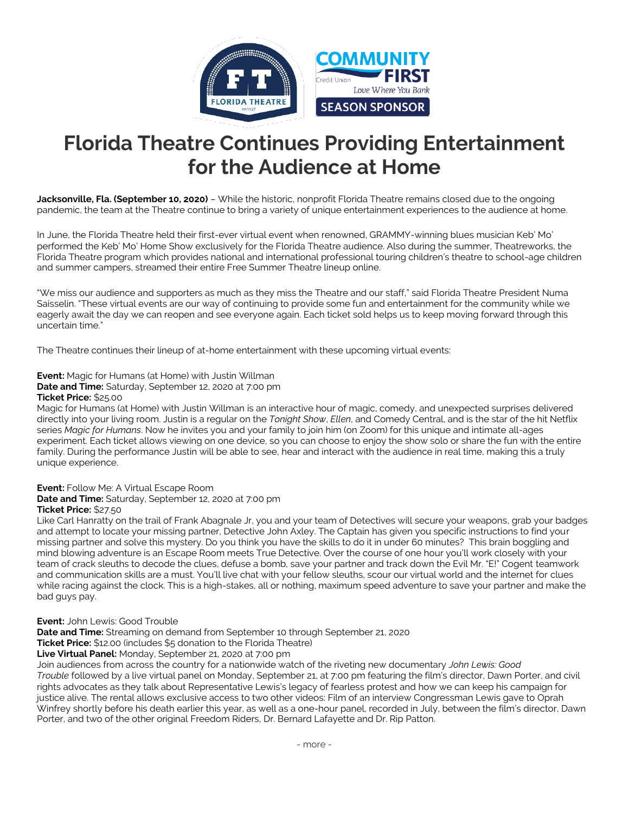

# **Florida Theatre Continues Providing Entertainment for the Audience at Home**

**Jacksonville, Fla. (September 10, 2020)** – While the historic, nonprofit Florida Theatre remains closed due to the ongoing pandemic, the team at the Theatre continue to bring a variety of unique entertainment experiences to the audience at home.

In June, the Florida Theatre held their first-ever virtual event when renowned, GRAMMY-winning blues musician Keb' Mo' performed the Keb' Mo' Home Show exclusively for the Florida Theatre audience. Also during the summer, Theatreworks, the Florida Theatre program which provides national and international professional touring children's theatre to school-age children and summer campers, streamed their entire Free Summer Theatre lineup online.

"We miss our audience and supporters as much as they miss the Theatre and our staff," said Florida Theatre President Numa Saisselin. "These virtual events are our way of continuing to provide some fun and entertainment for the community while we eagerly await the day we can reopen and see everyone again. Each ticket sold helps us to keep moving forward through this uncertain time."

The Theatre continues their lineup of at-home entertainment with these upcoming virtual events:

**Event:** Magic for Humans (at Home) with Justin Willman **Date and Time:** Saturday, September 12, 2020 at 7:00 pm

# **Ticket Price:** \$25.00

Magic for Humans (at Home) with Justin Willman is an interactive hour of magic, comedy, and unexpected surprises delivered directly into your living room. Justin is a regular on the *Tonight Show*, *Ellen*, and Comedy Central, and is the star of the hit Netflix series *Magic for Humans*. Now he invites you and your family to join him (on Zoom) for this unique and intimate all-ages experiment. Each ticket allows viewing on one device, so you can choose to enjoy the show solo or share the fun with the entire family. During the performance Justin will be able to see, hear and interact with the audience in real time, making this a truly unique experience.

# **Event:** Follow Me: A Virtual Escape Room

**Date and Time:** Saturday, September 12, 2020 at 7:00 pm

# **Ticket Price:** \$27.50

Like Carl Hanratty on the trail of Frank Abagnale Jr, you and your team of Detectives will secure your weapons, grab your badges and attempt to locate your missing partner, Detective John Axley. The Captain has given you specific instructions to find your missing partner and solve this mystery. Do you think you have the skills to do it in under 60 minutes? This brain boggling and mind blowing adventure is an Escape Room meets True Detective. Over the course of one hour you'll work closely with your team of crack sleuths to decode the clues, defuse a bomb, save your partner and track down the Evil Mr. "E!" Cogent teamwork and communication skills are a must. You'll live chat with your fellow sleuths, scour our virtual world and the internet for clues while racing against the clock. This is a high-stakes, all or nothing, maximum speed adventure to save your partner and make the bad guys pay.

#### **Event:** John Lewis: Good Trouble

**Date and Time:** Streaming on demand from September 10 through September 21, 2020

**Ticket Price:** \$12.00 (includes \$5 donation to the Florida Theatre)

# **Live Virtual Panel:** Monday, September 21, 2020 at 7:00 pm

Join audiences from across the country for a nationwide watch of the riveting new documentary *John Lewis: Good Trouble* followed by a live virtual panel on Monday, September 21, at 7:00 pm featuring the film's director, Dawn Porter, and civil rights advocates as they talk about Representative Lewis's legacy of fearless protest and how we can keep his campaign for justice alive. The rental allows exclusive access to two other videos: Film of an interview Congressman Lewis gave to Oprah Winfrey shortly before his death earlier this year, as well as a one-hour panel, recorded in July, between the film's director, Dawn Porter, and two of the other original Freedom Riders, Dr. Bernard Lafayette and Dr. Rip Patton.